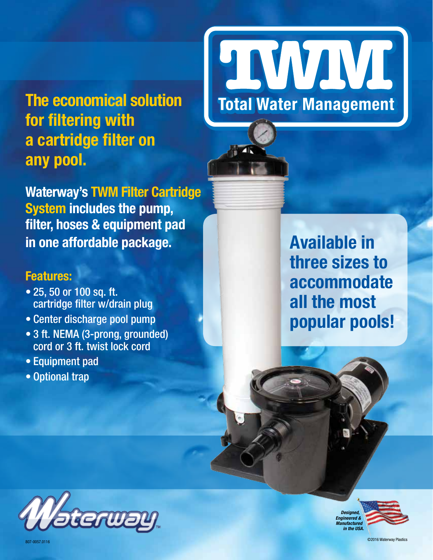**The economical solution for filtering with a cartridge filter on any pool.**

**Waterway's TWM Filter Cartridge System includes the pump, filter, hoses & equipment pad in one affordable package.**

## **Features:**

- 25, 50 or 100 sq. ft. cartridge filter w/drain plug
- Center discharge pool pump
- 3 ft. NEMA (3-prong, grounded) cord or 3 ft. twist lock cord
- Equipment pad
- Optional trap



**Available in three sizes to accommodate all the most popular pools!**



*Designed, Engineered & Manufactured in the USA.*

©2016 Waterway Plastics 807-0057.0116